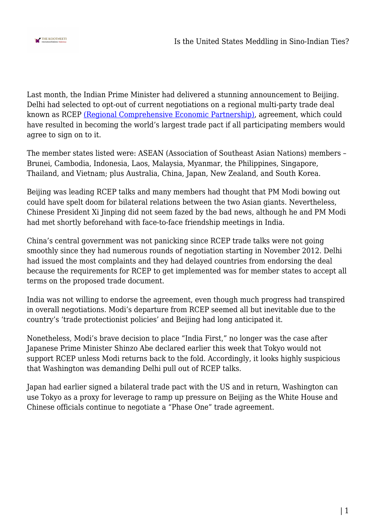

Last month, the Indian Prime Minister had delivered a stunning announcement to Beijing. Delhi had selected to opt-out of current negotiations on a regional multi-party trade deal known as RCEP [\(Regional Comprehensive Economic Partnership\),](https://thekootneeti.in/2019/11/07/india-shuts-the-door-for-rcep-the-aftereffects/) agreement, which could have resulted in becoming the world's largest trade pact if all participating members would agree to sign on to it.

The member states listed were: ASEAN (Association of Southeast Asian Nations) members – Brunei, Cambodia, Indonesia, Laos, Malaysia, Myanmar, the Philippines, Singapore, Thailand, and Vietnam; plus Australia, China, Japan, New Zealand, and South Korea.

Beijing was leading RCEP talks and many members had thought that PM Modi bowing out could have spelt doom for bilateral relations between the two Asian giants. Nevertheless, Chinese President Xi Jinping did not seem fazed by the bad news, although he and PM Modi had met shortly beforehand with face-to-face friendship meetings in India.

China's central government was not panicking since RCEP trade talks were not going smoothly since they had numerous rounds of negotiation starting in November 2012. Delhi had issued the most complaints and they had delayed countries from endorsing the deal because the requirements for RCEP to get implemented was for member states to accept all terms on the proposed trade document.

India was not willing to endorse the agreement, even though much progress had transpired in overall negotiations. Modi's departure from RCEP seemed all but inevitable due to the country's 'trade protectionist policies' and Beijing had long anticipated it.

Nonetheless, Modi's brave decision to place "India First," no longer was the case after Japanese Prime Minister Shinzo Abe declared earlier this week that Tokyo would not support RCEP unless Modi returns back to the fold. Accordingly, it looks highly suspicious that Washington was demanding Delhi pull out of RCEP talks.

Japan had earlier signed a bilateral trade pact with the US and in return, Washington can use Tokyo as a proxy for leverage to ramp up pressure on Beijing as the White House and Chinese officials continue to negotiate a "Phase One" trade agreement.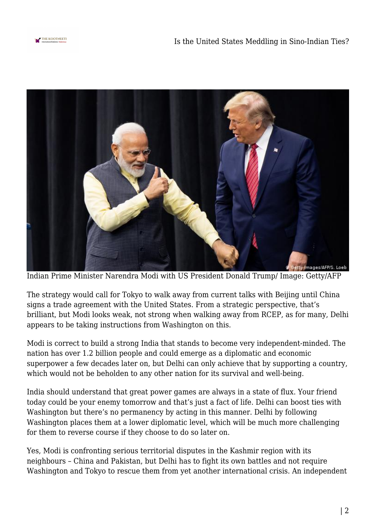



Indian Prime Minister Narendra Modi with US President Donald Trump/ Image: Getty/AFP

The strategy would call for Tokyo to walk away from current talks with Beijing until China signs a trade agreement with the United States. From a strategic perspective, that's brilliant, but Modi looks weak, not strong when walking away from RCEP, as for many, Delhi appears to be taking instructions from Washington on this.

Modi is correct to build a strong India that stands to become very independent-minded. The nation has over 1.2 billion people and could emerge as a diplomatic and economic superpower a few decades later on, but Delhi can only achieve that by supporting a country, which would not be beholden to any other nation for its survival and well-being.

India should understand that great power games are always in a state of flux. Your friend today could be your enemy tomorrow and that's just a fact of life. Delhi can boost ties with Washington but there's no permanency by acting in this manner. Delhi by following Washington places them at a lower diplomatic level, which will be much more challenging for them to reverse course if they choose to do so later on.

Yes, Modi is confronting serious territorial disputes in the Kashmir region with its neighbours – China and Pakistan, but Delhi has to fight its own battles and not require Washington and Tokyo to rescue them from yet another international crisis. An independent